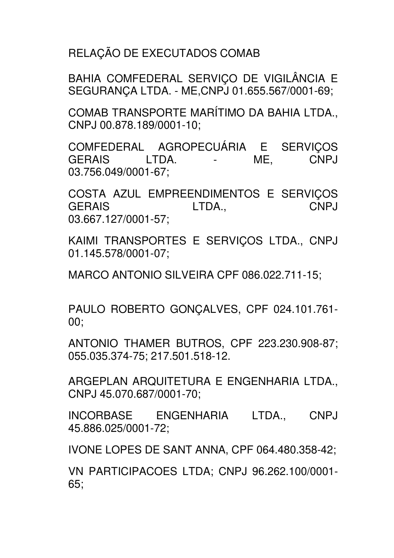RELAÇÃO DE EXECUTADOS COMAB

BAHIA COMFEDERAL SERVIÇO DE VIGILÂNCIA E SEGURANÇA LTDA. - ME,CNPJ 01.655.567/0001-69;

COMAB TRANSPORTE MARÍTIMO DA BAHIA LTDA., CNPJ 00.878.189/0001-10;

COMFEDERAL AGROPECUÁRIA E SERVIÇOS GERAIS LTDA. - ME, CNPJ 03.756.049/0001-67;

COSTA AZUL EMPREENDIMENTOS E SERVIÇOS GERAIS LTDA., CNPJ 03.667.127/0001-57;

KAIMI TRANSPORTES E SERVICOS LTDA., CNPJ 01.145.578/0001-07;

MARCO ANTONIO SILVEIRA CPF 086.022.711-15;

PAULO ROBERTO GONÇALVES, CPF 024.101.761- 00;

ANTONIO THAMER BUTROS, CPF 223.230.908-87; 055.035.374-75; 217.501.518-12.

ARGEPLAN ARQUITETURA E ENGENHARIA LTDA., CNPJ 45.070.687/0001-70;

INCORBASE ENGENHARIA LTDA., CNPJ 45.886.025/0001-72;

IVONE LOPES DE SANT ANNA, CPF 064.480.358-42;

VN PARTICIPACOES LTDA; CNPJ 96.262.100/0001- 65;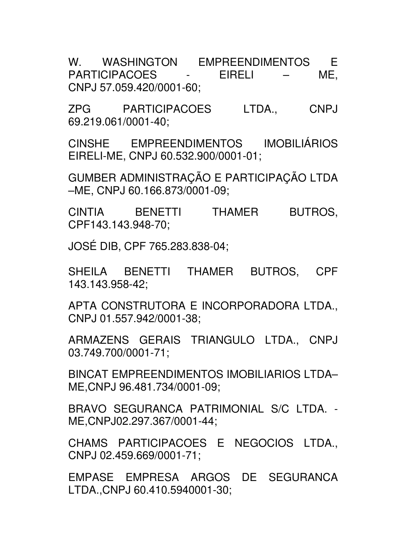W. WASHINGTON EMPREENDIMENTOS E PARTICIPACOES - EIRELI – ME, CNPJ 57.059.420/0001-60;

ZPG PARTICIPACOES LTDA., CNPJ 69.219.061/0001-40;

CINSHE EMPREENDIMENTOS IMOBILIÁRIOS EIRELI-ME, CNPJ 60.532.900/0001-01;

GUMBER ADMINISTRAÇÃO E PARTICIPAÇÃO LTDA –ME, CNPJ 60.166.873/0001-09;

CINTIA BENETTI THAMER BUTROS, CPF143.143.948-70;

JOSÉ DIB, CPF 765.283.838-04;

SHEILA BENETTI THAMER BUTROS, CPF 143.143.958-42;

APTA CONSTRUTORA E INCORPORADORA LTDA., CNPJ 01.557.942/0001-38;

ARMAZENS GERAIS TRIANGULO LTDA., CNPJ 03.749.700/0001-71;

BINCAT EMPREENDIMENTOS IMOBILIARIOS LTDA– ME,CNPJ 96.481.734/0001-09;

BRAVO SEGURANCA PATRIMONIAL S/C LTDA. - ME,CNPJ02.297.367/0001-44;

CHAMS PARTICIPACOES E NEGOCIOS LTDA., CNPJ 02.459.669/0001-71;

EMPASE EMPRESA ARGOS DE SEGURANCA LTDA.,CNPJ 60.410.5940001-30;